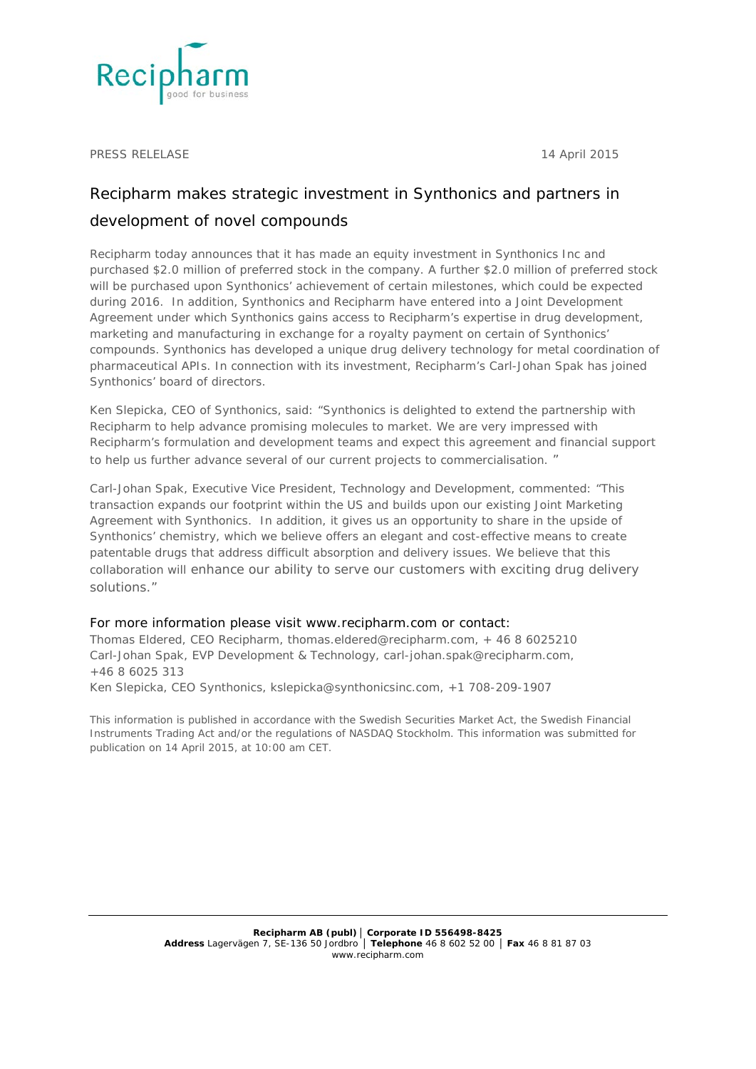

PRESS RELELASE 14 April 2015

## Recipharm makes strategic investment in Synthonics and partners in development of novel compounds

Recipharm today announces that it has made an equity investment in Synthonics Inc and purchased \$2.0 million of preferred stock in the company. A further \$2.0 million of preferred stock will be purchased upon Synthonics' achievement of certain milestones, which could be expected during 2016. In addition, Synthonics and Recipharm have entered into a Joint Development Agreement under which Synthonics gains access to Recipharm's expertise in drug development, marketing and manufacturing in exchange for a royalty payment on certain of Synthonics' compounds. Synthonics has developed a unique drug delivery technology for metal coordination of pharmaceutical APIs. In connection with its investment, Recipharm's Carl-Johan Spak has joined Synthonics' board of directors.

Ken Slepicka, CEO of Synthonics, said: "Synthonics is delighted to extend the partnership with Recipharm to help advance promising molecules to market. We are very impressed with Recipharm's formulation and development teams and expect this agreement and financial support to help us further advance several of our current projects to commercialisation. "

Carl-Johan Spak, Executive Vice President, Technology and Development, commented: "This transaction expands our footprint within the US and builds upon our existing Joint Marketing Agreement with Synthonics. In addition, it gives us an opportunity to share in the upside of Synthonics' chemistry, which we believe offers an elegant and cost-effective means to create patentable drugs that address difficult absorption and delivery issues. We believe that this collaboration will enhance our ability to serve our customers with exciting drug delivery solutions."

## For more information please visit www.recipharm.com or contact:

Thomas Eldered, CEO Recipharm, thomas.eldered@recipharm.com, + 46 8 6025210 Carl-Johan Spak, EVP Development & Technology, carl-johan.spak@recipharm.com, +46 8 6025 313 Ken Slepicka, CEO Synthonics, kslepicka@synthonicsinc.com, +1 708-209-1907

*This information is published in accordance with the Swedish Securities Market Act, the Swedish Financial Instruments Trading Act and/or the regulations of NASDAQ Stockholm. This information was submitted for publication on 14 April 2015, at 10:00 am CET.*